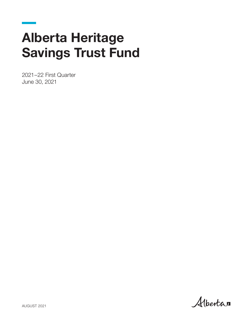# Alberta Heritage Savings Trust Fund

2021–22 First Quarter June 30, 2021

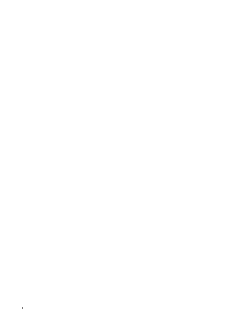ii Alberta Heritage Fund Report | 2021–22 First Quarter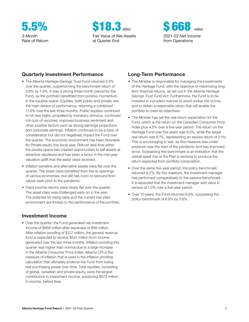





## Quarterly Investment Performance

- The Alberta Heritage Savings Trust Fund returned 5.5% over the quarter, outperforming the benchmark return of 3.6% by 1.9%. It was a strong three month period for the Fund, as the portfolio benefitted from positive momentum in the equities space. Equities, both public and private, are the main drivers of performance, returning a combined 11.6% over the last three months. Public equities continued to hit new highs, propelled by monetary stimulus, continued roll-outs of vaccines, improved business sentiment and other positive factors such as strong earnings projections and corporate earnings. Inflation continues to be a topic of consideration but did not negatively impact the Fund over the quarter. The economic environment has been favorable for Private equity this fiscal year. Robust deal flow within the private space has created opportunities to sell assets at attractive valuations and has been a factor in the mid-year valuation uplift that the asset class received.
- Inflation sensitive and alternative assets were flat over the quarter. The asset class benefited from the re-openings of various economies, but still has room to rebound from values seen prior to the pandemic.
- Fixed income returns were nearly flat over the quarter. The asset class was challenged early on in the year. The potential for rising rates and the current low-yield environment are threats to the performance of the portfolio.

### Investment Income

• Over the quarter, the Fund generated net investment income of \$668 million after expenses of \$56 million. After inflation proofing of \$127 million, the general revenue fund is expected to receive \$541 million from income generated over the last three months. Inflation proofing this quarter was higher than normal due to a large increase in the Alberta Consumer Price Index. Alberta CPI is the measure of inflation that is used in the inflation proofing calculation that ultimately protects the Fund from losing real purchasing power over time. Total equities, consisting of global, canadian and private equity, were the largest contributors to investment income, producing \$573 million in income, before fees.

## Long-Term Performance

- The Minister is responsible for managing the investments of the Heritage Fund, with the objective of maximizing long term financial returns, as set out in the *Alberta Heritage Savings Trust Fund Act*. Furthermore, the Fund is to be invested in a prudent manner to avoid undue risk of loss and to obtain a reasonable return that will enable the portfolio to meet its objectives.
- The Minister has set the real return expectation for the Fund, which is the return on the Canadian Consumer Price Index plus 4.5% over a five-year period. The return on the Heritage Fund over five years was 8.2%, while the target real return was 6.1%, representing an excess return of 2.1%. This is encouraging to see, as this measure was under pressure near the start of the pandemic and has improved since. Surpassing this benchmark is an indication that the overall asset mix of the Plan is working to produce the return expected from portfolio composition.
- Over the same five-year period, the policy benchmark returned 8.2%. By this measure, the investment manager has performed comparatively to the passive benchmark. It is expected that the investment manager add value in excess of 1.0% over a five-year period.
- Over 10 years, the Fund returned 9.5%, surpassing the policy benchmark of 8.9% by 0.6%.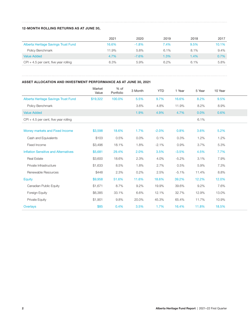#### 12-MONTH ROLLING RETURNS AS AT JUNE 30,

|                                         | 2021  | 2020    | 2019 | 2018 | 2017  |
|-----------------------------------------|-------|---------|------|------|-------|
| Alberta Heritage Savings Trust Fund     | 16.6% | $-1.8%$ | 7.4% | 9.5% | 10.1% |
| Policy Benchmark                        | 11.9% | 5.8%    | 6.1% | 8.1% | 9.4%  |
| <b>Value Added</b>                      | 4.7%  | $-7.6%$ | 1.3% | 1.4% | 0.7%  |
| $CPI + 4.5$ per cent, five year rolling | 6.3%  | 5.9%    | 6.2% | 6.1% | 5.8%  |
|                                         |       |         |      |      |       |

#### ASSET ALLOCATION AND INVESTMENT PERFORMANCE AS AT JUNE 30, 2021

|                                             | Market<br>Value | % of<br>Portfolio | 3 Month | <b>YTD</b> | 1 Year  | 5 Year | 10 Year |  |
|---------------------------------------------|-----------------|-------------------|---------|------------|---------|--------|---------|--|
| Alberta Heritage Savings Trust Fund         | \$19,322        | 100.0%            | 5.5%    | 9.7%       | 16.6%   | 8.2%   | 9.5%    |  |
| Policy Benchmark                            |                 |                   | 3.6%    | 4.8%       | 11.9%   | 8.2%   | 8.9%    |  |
| <b>Value Added</b>                          |                 |                   | 1.9%    | 4.9%       | 4.7%    | 0.0%   | 0.6%    |  |
| $CPI + 4.5$ per cent, five year rolling     |                 |                   |         |            |         | 6.1%   |         |  |
| Money markets and Fixed Income              | \$3,598         | 18.6%             | 1.7%    | $-2.0%$    | 0.8%    | 3.6%   | 5.2%    |  |
| Cash and Equivalents                        | \$103           | 0.5%              | 0.0%    | 0.1%       | 0.3%    | 1.2%   | 1.2%    |  |
| Fixed Income                                | \$3,496         | 18.1%             | 1.8%    | $-2.1%$    | 0.9%    | 3.7%   | 5.3%    |  |
| <b>Inflation Sensitive and Alternatives</b> | \$5,681         | 29.4%             | 2.0%    | 3.5%       | $-3.5%$ | 4.5%   | 7.7%    |  |
| <b>Real Estate</b>                          | \$3,600         | 18.6%             | 2.3%    | 4.0%       | $-5.2%$ | 3.1%   | 7.9%    |  |
| Private Infrastructure                      | \$1,633         | 8.5%              | 1.8%    | 2.7%       | 0.5%    | 5.9%   | 7.3%    |  |
| Renewable Resources                         | \$448           | 2.3%              | 0.2%    | 2.5%       | $-5.1%$ | 11.4%  | 8.8%    |  |
| Equity                                      | \$9,958         | 51.6%             | 11.6%   | 18.6%      | 39.2%   | 12.2%  | 12.0%   |  |
| Canadian Public Equity                      | \$1,671         | 8.7%              | 9.2%    | 19.9%      | 39.6%   | 9.2%   | 7.6%    |  |
| Foreign Equity                              | \$6,385         | 33.1%             | 6.6%    | 12.1%      | 32.7%   | 12.9%  | 13.0%   |  |
| Private Equity                              | \$1,901         | 9.8%              | 20.0%   | 45.3%      | 65.4%   | 11.7%  | 10.9%   |  |
| <b>Overlays</b>                             | \$85            | 0.4%              | 3.5%    | 1.7%       | 16.4%   | 11.8%  | 18.5%   |  |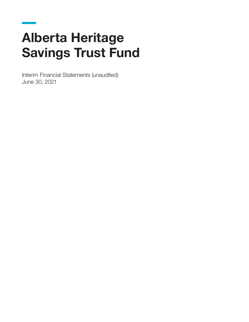# Alberta Heritage Savings Trust Fund

Interim Financial Statements (unaudited) June 30, 2021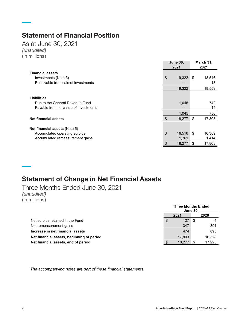# **Statement of Financial Position**

at Jur Q2-11\_**heritage\_01sfp.pdf** *(unaudited)* PDF named: Q2-11\_**heritage\_01sfp.pdf** As at June 30, 2021 (in millions)

|                                      | <b>June 30,</b><br>2021 |        | March 31,<br>2021 |
|--------------------------------------|-------------------------|--------|-------------------|
| <b>Financial assets</b>              |                         |        |                   |
| Investments (Note 3)                 | \$                      | 19,322 | \$<br>18,546      |
| Receivable from sale of investments  |                         |        | 13                |
|                                      |                         | 19,322 | 18,559            |
|                                      |                         |        |                   |
| <b>Liabilities</b>                   |                         |        |                   |
| Due to the General Revenue Fund      |                         | 1,045  | 742               |
| Payable from purchase of investments |                         |        | 14                |
|                                      |                         | 1,045  | 756               |
| <b>Net financial assets</b>          |                         | 18,277 | \$<br>17,803      |
|                                      |                         |        |                   |
| Net financial assets (Note 5)        |                         |        |                   |
| Accumulated operating surplus        | \$                      | 16,516 | \$<br>16,389      |
| Accumulated remeasurement gains      |                         | 1,761  | 1,414             |
|                                      | \$                      | 18,277 | \$<br>17.803      |

#### f Change in Net Financial Assets Statement of Change in Net Financial Assets Statement of Change in Net Financial Assets

## Three Months Ended June 30, 2021

PDF named: Q2-11\_**heritage\_01scnfa.pdf** *(unaudited)* Q2-11\_**heritage\_01scnfa.pdf** (in millions)

|                                           | <b>Three Months Ended</b><br><b>June 30,</b> |   |        |  |
|-------------------------------------------|----------------------------------------------|---|--------|--|
|                                           | 2021                                         |   | 2020   |  |
| Net surplus retained in the Fund          | \$<br>127                                    | S |        |  |
| Net remeasurement gains                   | 347                                          |   | 891    |  |
| Increase in net financial assets          | 474                                          |   | 895    |  |
| Net financial assets, beginning of period | 17,803                                       |   | 16,328 |  |
| Net financial assets, end of period       | 18.277                                       | ዳ | 17,223 |  |
|                                           |                                              |   |        |  |

*The accompanying notes are part of these financial statements*. *The accompanying notes are part of these financial statements*.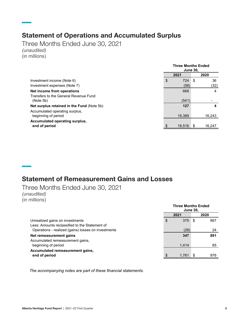#### Statement of Operations and Accumulated Surplus The and Accumulated St Three Months Ended June 30, 2021 **Statement of Operations and Accumulated Surplus**

ree Months Ended June 30, 2021 (unaudited) Q2-11\_**heritage\_02sona.pdf** (in millions) Q2-11\_**heritage\_02sona.pdf** Three Months Ended June 30, 2021

|                                                            |        | <b>Three Months Ended</b><br><b>June 30.</b> |            |  |  |
|------------------------------------------------------------|--------|----------------------------------------------|------------|--|--|
|                                                            | 2021   |                                              | 2020       |  |  |
| Investment income (Note 6)<br>Investment expenses (Note 7) | \$     | 724<br>\$<br>(56)                            | 36<br>(32) |  |  |
| Net income from operations                                 |        | 668                                          | 4          |  |  |
| Transfers to the General Revenue Fund<br>(Note 5b)         |        | (541)                                        |            |  |  |
| <b>Net surplus retained in the Fund (Note 5b)</b>          |        | 127                                          | 4          |  |  |
| Accumulated operating surplus,<br>beginning of period      | 16,389 |                                              | 16,243     |  |  |
| <b>Accumulated operating surplus,</b><br>end of period     | 16,516 |                                              | 16,247     |  |  |

#### of Remeasurement Gains and Losses Statement of Remeasurement Gains and Losses The Months Ended Wine 30, 2021 Statement of Remeasurement Gains and Losses

#### UITE JU,  $ZUZ$ T Three Months Ended June 30, 2021

PDF named: Q1-13\_HF\_FS**\_02sorg.pdf** *(unaudited)* Q1-13\_HF\_FS**\_02sorg.pdf** (in millions)

|                                                     | <b>Three Months Ended</b><br><b>June 30,</b> |       |    |      |
|-----------------------------------------------------|----------------------------------------------|-------|----|------|
|                                                     |                                              | 2021  |    | 2020 |
| Unrealized gains on investments                     | \$                                           | 375   | S  | 867  |
| Less: Amounts reclassified to the Statement of      |                                              |       |    |      |
| Operations - realized (gains) losses on investments |                                              | (28)  |    | 24   |
| Net remeasurement gains                             |                                              | 347   |    | 891  |
| Accumulated remeasurement gains,                    |                                              |       |    |      |
| beginning of period                                 |                                              | 1.414 |    | 85   |
| Accumulated remeasurement gains,                    |                                              |       |    |      |
| end of period                                       |                                              | 1.761 | \$ | 976  |

*The accompanying notes are part of these financial statements*.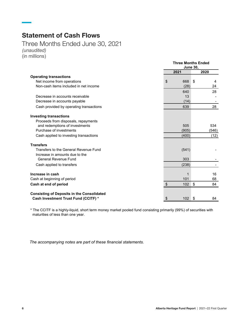## Statement of Cash Flows

Three Months Ended June 30, 2021 Q2-11\_**heritage\_03scf.pdf** *(unaudited)* (in millions)

|                                                   |    | <b>June 30,</b>  | <b>Three Months Ended</b> |       |
|---------------------------------------------------|----|------------------|---------------------------|-------|
|                                                   |    | 2021             |                           | 2020  |
| <b>Operating transactions</b>                     |    |                  |                           |       |
| Net income from operations                        | \$ | 668              | \$                        | 4     |
| Non-cash items included in net income             |    | (28)             |                           | 24    |
|                                                   |    | 640              |                           | 28    |
| Decrease in accounts receivable                   |    | 13               |                           |       |
| Decrease in accounts payable                      |    | (14)             |                           |       |
| Cash provided by operating transactions           |    | 639              |                           | 28    |
| <b>Investing transactions</b>                     |    |                  |                           |       |
| Proceeds from disposals, repayments               |    |                  |                           |       |
| and redemptions of investments                    |    | 505              |                           | 534   |
| Purchase of investments                           |    | (905)            |                           | (546) |
| Cash applied to investing transactions            |    | (400)            |                           | (12)  |
| <b>Transfers</b>                                  |    |                  |                           |       |
| Transfers to the General Revenue Fund             |    | (541)            |                           |       |
| Increase in amounts due to the                    |    |                  |                           |       |
| <b>General Revenue Fund</b>                       |    | 303              |                           |       |
| Cash applied to transfers                         |    | (238)            |                           |       |
| Increase in cash                                  |    | 1                |                           | 16    |
| Cash at beginning of period                       |    | 101              |                           | 68    |
| Cash at end of period                             | \$ | 102              | \$                        | 84    |
| <b>Consisting of Deposits in the Consolidated</b> |    |                  |                           |       |
| Cash Investment Trust Fund (CCITF) *              | \$ | 102 <sub>2</sub> | -\$                       | 84    |

\* The CCITF is a highly-liquid, short term money market pooled fund consisting primarily (99%) of securities with maturities of less than one year.

*The accompanying notes are part of these financial statements.*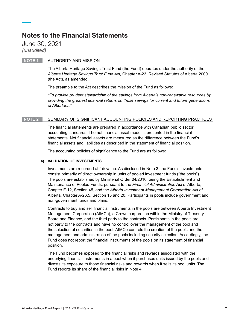## $\sim$  100  $\sim$  100  $\sim$ **Notes to the Financial Statements**

June 30, 2021 *(unaudited)*

#### **NOTE 1** AUTHORITY AND MISSION

The Alberta Heritage Savings Trust Fund (the Fund) operates under the authority of the *Alberta Heritage Savings Trust Fund Act,* Chapter A-23, Revised Statutes of Alberta 2000 (the Act), as amended .

The preamble to the Act describes the mission of the Fund as follows:

"*To provide prudent stewardship of the savings from Alberta's non-renewable resources by providing the greatest financial returns on those savings for current and future generations of Albertans.*"

#### **NOTE 2** SUMMARY OF SIGNIFICANT ACCOUNTING POLICIES AND REPORTING PRACTICES

The financial statements are prepared in accordance with Canadian public sector accounting standards. The net financial asset model is presented in the financial statements. Net financial assets are measured as the difference between the Fund's financial assets and liabilities as described in the statement of financial position.

The accounting policies of significance to the Fund are as follows:

#### **a) VALUATION OF INVESTmENTS**

Investments are recorded at fair value. As disclosed in Note 3, the Fund's investments consist primarily of direct ownership in units of pooled investment funds ("the pools") . The pools are established by Ministerial Order 04/2016, being the Establishment and Maintenance of Pooled Funds, pursuant to the *Financial Administration Act* of Alberta, Chapter F-12, Section 45, and the *Alberta Investment Management Corporation Act* of Alberta, Chapter A-26 .5, Section 15 and 20 . Participants in pools include government and non-government funds and plans.

Contracts to buy and sell financial instruments in the pools are between Alberta Investment Management Corporation (AIMCo), a Crown corporation within the Ministry of Treasury Board and Finance, and the third party to the contracts . Participants in the pools are not party to the contracts and have no control over the management of the pool and the selection of securities in the pool . AIMCo controls the creation of the pools and the management and administration of the pools including security selection . Accordingly, the Fund does not report the financial instruments of the pools on its statement of financial position.

The Fund becomes exposed to the financial risks and rewards associated with the underlying financial instruments in a pool when it purchases units issued by the pools and divests its exposure to those financial risks and rewards when it sells its pool units. The Fund reports its share of the financial risks in Note 4.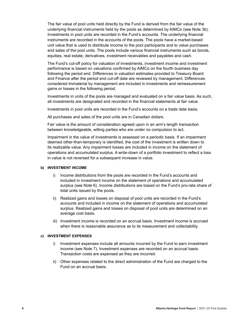The fair value of pool units held directly by the Fund is derived from the fair value of the underlying financial instruments held by the pools as determined by AIMCo (see Note 3b). Investments in pool units are recorded in the Fund's accounts. The underlying financial instruments are recorded in the accounts of the pools. The pools have a market-based unit value that is used to distribute income to the pool participants and to value purchases and sales of the pool units. The pools include various financial instruments such as bonds, equities, real estate, derivatives, investment receivables and payables and cash .

The Fund's cut-off policy for valuation of investments, investment income and investment performance is based on valuations confirmed by AIMCo on the fourth business day following the period end. Differences in valuation estimates provided to Treasury Board and Finance after the period end cut-off date are reviewed by management. Differences considered immaterial by management are included in investments and remeasurement gains or losses in the following period.

Investments in units of the pools are managed and evaluated on a fair value basis . As such, all investments are designated and recorded in the financial statements at fair value.

Investments in pool units are recorded in the Fund's accounts on a trade date basis.

All purchases and sales of the pool units are in Canadian dollars.

Fair value is the amount of consideration agreed upon in an arm's length transaction between knowledgeable, willing parties who are under no compulsion to act.

Impairment in the value of investments is assessed on a periodic basis . If an impairment deemed other-than-temporary is identified, the cost of the investment is written down to its realizable value . Any impairment losses are included in income on the statement of operations and accumulated surplus. A write-down of a portfolio investment to reflect a loss in value is not reversed for a subsequent increase in value .

#### **b) INVESTmENT INCOmE**

- i) Income distributions from the pools are recorded in the Fund's accounts and included in investment income on the statement of operations and accumulated surplus (see Note 6). Income distributions are based on the Fund's pro-rata share of total units issued by the pools.
- ii) Realized gains and losses on disposal of pool units are recorded in the Fund's accounts and included in income on the statement of operations and accumulated surplus. Realized gains and losses on disposal of pool units are determined on an average cost basis .
- iii) Investment income is recorded on an accrual basis . Investment income is accrued when there is reasonable assurance as to its measurement and collectability.

#### **c) INVESTmENT ExpENSES**

- i) Investment expenses include all amounts incurred by the Fund to earn investment income (see Note 7). Investment expenses are recorded on an accrual basis. Transaction costs are expensed as they are incurred .
- ii) Other expenses related to the direct administration of the Fund are charged to the Fund on an accrual basis.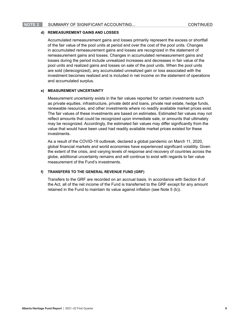#### **NOTE 2** SUMMARY OF SIGNIFICANT ACCOUNTING... CONTINUED

#### **d) REmEASUREmENT GAINS AND LOSSES**

Accumulated remeasurement gains and losses primarily represent the excess or shortfall of the fair value of the pool units at period end over the cost of the pool units . Changes in accumulated remeasurement gains and losses are recognized in the statement of remeasurement gains and losses. Changes in accumulated remeasurement gains and losses during the period include unrealized increases and decreases in fair value of the pool units and realized gains and losses on sale of the pool units . When the pool units are sold (derecognized), any accumulated unrealized gain or loss associated with the investment becomes realized and is included in net income on the statement of operations and accumulated surplus .

#### **e) mEASUREmENT UNCERTAINTY**

Measurement uncertainty exists in the fair values reported for certain investments such as private equities, infrastructure, private debt and loans, private real estate, hedge funds, renewable resources, and other investments where no readily available market prices exist. The fair values of these investments are based on estimates . Estimated fair values may not reflect amounts that could be recognized upon immediate sale, or amounts that ultimately may be recognized. Accordingly, the estimated fair values may differ significantly from the value that would have been used had readily available market prices existed for these investments .

As a result of the COVID-19 outbreak, declared a global pandemic on March 11, 2020, global financial markets and world economies have experienced significant volatility. Given the extent of the crisis, and varying levels of response and recovery of countries across the globe, additional uncertainty remains and will continue to exist with regards to fair value measurement of the Fund's investments.

#### **f) TRANSFERS TO THE GENERAL REVENUE FUND (GRF)**

Transfers to the GRF are recorded on an accrual basis . In accordance with Section 8 of the Act, all of the net income of the Fund is transferred to the GRF except for any amount retained in the Fund to maintain its value against inflation (see Note 5 (b)).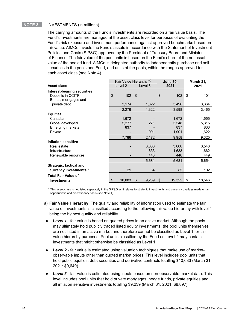#### **NOTE 3** INVESTMENTS (in millions)

The carrying amounts of the Fund's investments are recorded on a fair value basis. The Fund's investments are managed at the asset class level for purposes of evaluating the Fund's risk exposure and investment performance against approved benchmarks based on fair value. AIMCo invests the Fund's assets in accordance with the Statement of Investment Policies and Goals (SIP&G) approved by the President of Treasury Board and Minister of Finance. The fair value of the pool units is based on the Fund's share of the net asset of the pooled fund. AIMCo is delegated authority to independently purchase and sell value of the pooled fund. AIMCo is delegated authority to independently purchase and sell securities in the pools and Fund, and units of the pools, within the ranges approved for each asset class (see Note 4).

|                                    | Fair Value Hierarchy <sup>(a)</sup> |        |      |       | <b>June 30,</b> | March 31, |        |  |
|------------------------------------|-------------------------------------|--------|------|-------|-----------------|-----------|--------|--|
| <b>Asset class</b>                 | Level <sub>2</sub><br>Level 3       |        |      | 2021  |                 | 2021      |        |  |
| <b>Interest-bearing securities</b> |                                     |        |      |       |                 |           |        |  |
| Deposits in CCITF                  | \$                                  | 102    | - \$ |       | \$<br>102       | \$        | 101    |  |
| Bonds, mortgages and               |                                     |        |      |       |                 |           |        |  |
| private debt                       |                                     | 2,174  |      | 1,322 | 3,496           |           | 3,364  |  |
|                                    |                                     | 2,276  |      | 1,322 | 3,598           |           | 3,465  |  |
| <b>Equities</b>                    |                                     |        |      |       |                 |           |        |  |
| Canadian                           |                                     | 1,672  |      |       | 1,672           |           | 1,555  |  |
| Global developed                   |                                     | 5,277  |      | 271   | 5,548           |           | 5,315  |  |
| Emerging markets                   |                                     | 837    |      |       | 837             |           | 833    |  |
| Private                            |                                     |        |      | 1,901 | 1,901           |           | 1,622  |  |
|                                    |                                     | 7,786  |      | 2,172 | 9,958           |           | 9,325  |  |
| <b>Inflation sensitive</b>         |                                     |        |      |       |                 |           |        |  |
| Real estate                        |                                     |        |      | 3,600 | 3,600           |           | 3,543  |  |
| Infrastructure                     |                                     |        |      | 1,633 | 1,633           |           | 1,662  |  |
| Renewable resources                |                                     |        |      | 448   | 448             |           | 449    |  |
|                                    |                                     |        |      | 5,681 | 5,681           |           | 5,654  |  |
| Strategic, tactical and            |                                     |        |      |       |                 |           |        |  |
| currency investments *             |                                     | 21     |      | 64    | 85              |           | 102    |  |
| <b>Total Fair Value of</b>         |                                     |        |      |       |                 |           |        |  |
| <b>Investments</b>                 | \$                                  | 10,083 | \$   | 9,239 | \$<br>19,322    | \$        | 18,546 |  |

\* This asset class is not listed separately in the SIP&G as it relates to strategic investments and currency overlays made on an opportunistic and discretionary basis (see Note 4).

- **a) Fair Value Hierarchy**: The quality and reliability of information used to estimate the fair value of investments is classified according to the following fair value hierarchy with level 1 being the highest quality and reliability.
- Level 1 fair value is based on quoted prices in an active market. Although the pools may ultimately hold publicly traded listed equity investments, the pool units themselves are not listed in an active market and therefore cannot be classified as Level 1 for fair value hierarchy purposes. Pool units classified by the Fund as Level 2 may contain investments that might otherwise be classified as Level 1.
- **Level 2** fair value is estimated using valuation techniques that make use of marketobservable inputs other than quoted market prices. This level includes pool units that hold public equities, debt securities and derivative contracts totalling \$10,083 (March 31, 2021: \$9,649) .
- **Level 3** fair value is estimated using inputs based on non-observable market data. This level includes pool units that hold private mortgages, hedge funds, private equities and all inflation sensitive investments totalling \$9,239 (March 31, 2021: \$8,897).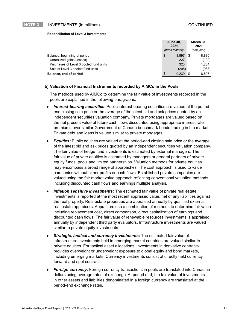#### **Reconciliation of Level 3 Investments**

|                                        | <b>June 30,</b><br>2021 |   | March 31,<br>2021 |
|----------------------------------------|-------------------------|---|-------------------|
|                                        | (three months)          |   | (one year)        |
| Balance, beginning of period           | \$<br>8.897             | S | 8,880             |
| Unrealized gains (losses)              | 227                     |   | (199)             |
| Purchases of Level 3 pooled fund units | 323                     |   | 1.204             |
| Sale of Level 3 pooled fund units      | (208)                   |   | (988)             |
| Balance, end of period                 | 9.239                   |   | 8,897             |

#### **b) Valuation of Financial Instruments recorded by AImCo in the pools**

The methods used by AIMCo to determine the fair value of investments recorded in the pools are explained in the following paragraphs**:**

- **Interest-bearing securities**: Public interest-bearing securities are valued at the periodend closing sale price or the average of the latest bid and ask prices quoted by an independent securities valuation company . Private mortgages are valued based on the net present value of future cash flows discounted using appropriate interest rate premiums over similar Government of Canada benchmark bonds trading in the market. Private debt and loans is valued similar to private mortgages.
- *Equities:* Public equities are valued at the period-end closing sale price or the average of the latest bid and ask prices quoted by an independent securities valuation company. The fair value of hedge fund investments is estimated by external managers . The fair value of private equities is estimated by managers or general partners of private equity funds, pools and limited partnerships . Valuation methods for private equities may encompass a broad range of approaches . The cost approach is used to value companies without either profits or cash flows. Established private companies are valued using the fair market value approach reflecting conventional valuation methods including discounted cash flows and earnings multiple analysis*.*
- **Inflation sensitive investments:** The estimated fair value of private real estate investments is reported at the most recent appraised value, net of any liabilities against the real property. Real estate properties are appraised annually by qualified external real estate appraisers . Appraisers use a combination of methods to determine fair value including replacement cost, direct comparison, direct capitalization of earnings and discounted cash flows. The fair value of renewable resources investments is appraised annually by independent third party evaluators . Infrastructure investments are valued similar to private equity investments.
- **Strategic, tactical and currency investments:** The estimated fair value of infrastructure investments held in emerging market countries are valued similar to private equities . For tactical asset allocations, investments in derivative contracts provides overweight or underweight exposure to global equity and bond markets, including emerging markets. Currency investments consist of directly held currency forward and spot contracts.
- $p$  and  $q$  and  $q$  one identified. **Foreign currency:** Foreign currency transactions in pools are translated into Canadian dollars using average rates of exchange . At period end, the fair value of investments in other assets and liabilities denominated in a foreign currency are translated at the period-end exchange rates.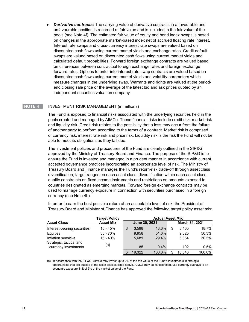**Derivative contracts:** The carrying value of derivative contracts in a favourable and unfavourable position is recorded at fair value and is included in the fair value of the pools (see Note 4f) . The estimated fair value of equity and bond index swaps is based on changes in the appropriate market-based index net of accrued floating rate interest. Interest rate swaps and cross-currency interest rate swaps are valued based on discounted cash flows using current market yields and exchange rates. Credit default swaps are valued based on discounted cash flows using current market yields and calculated default probabilities . Forward foreign exchange contracts are valued based on differences between contractual foreign exchange rates and foreign exchange forward rates . Options to enter into interest rate swap contracts are valued based on discounted cash flows using current market yields and volatility parameters which measure changes in the underlying swap. Warrants and rights are valued at the periodend closing sale price or the average of the latest bid and ask prices quoted by an independent securities valuation company.

#### **NOTE 4** INVESTMENT RISK MANAGEMENT (in millions)

The Fund is exposed to financial risks associated with the underlying securities held in the pools created and managed by AIMCo. These financial risks include credit risk, market risk and liquidity risk. Credit risk relates to the possibility that a loss may occur from the failure of another party to perform according to the terms of a contract. Market risk is comprised of currency risk, interest rate risk and price risk. Liquidity risk is the risk the Fund will not be able to meet its obligations as they fall due .

The investment policies and procedures of the Fund are clearly outlined in the SIP&G approved by the Ministry of Treasury Board and Finance . The purpose of the SIP&G is to ensure the Fund is invested and managed in a prudent manner in accordance with current, accepted governance practices incorporating an appropriate level of risk. The Ministry of Treasury Board and Finance manages the Fund's return-risk trade-off through asset class diversification, target ranges on each asset class, diversification within each asset class, quality constraints on fixed income instruments and restrictions on amounts exposed to countries designated as emerging markets. Forward foreign exchange contracts may be used to manage currency exposure in connection with securities purchased in a foreign currency (see Note 4b).

In order to earn the best possible return at an acceptable level of risk, the President of Treasury Board and Minister of Finance has approved the following target policy asset mix:

|                                                | <b>Target Policy</b> |    |               |         |  |                |        |
|------------------------------------------------|----------------------|----|---------------|---------|--|----------------|--------|
| <b>Asset Class</b>                             | <b>Asset Mix</b>     |    | June 30, 2021 |         |  | March 31, 2021 |        |
| Interest-bearing securities                    | $15 - 45%$           | \$ | 3.598         | 18.6%   |  | 3.465          | 18.7%  |
| Equities                                       | $35 - 70%$           |    | 9.958         | 51.6%   |  | 9.325          | 50.3%  |
| Inflation sensitive<br>Strategic, tactical and | $15 - 40%$           |    | 5.681         | 29.4%   |  | 5.654          | 30.5%  |
| currency investments                           | (a)                  |    | 85            | $0.4\%$ |  | 102            | 0.5%   |
|                                                |                      |    | 19.322        | 100.0%  |  | 18.546         | 100.0% |

(a) In accordance with the SIP&G, AIMCo may invest up to 2% of the fair value of the Fund's investments in strategic opportunities that are outside of the asset classes listed above. AIMCo may, at its discretion, use currency overlays to an economic exposure limit of 5% of the market value of the Fund.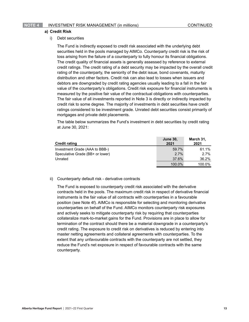#### **NOTE 4** INVESTMENT RISK MANAGEMENT (in millions) CONTINUED

#### **a) Credit Risk**

#### i) Debt securities

 The Fund is indirectly exposed to credit risk associated with the underlying debt securities held in the pools managed by AIMCo. Counterparty credit risk is the risk of loss arising from the failure of a counterparty to fully honour its financial obligations. The credit quality of financial assets is generally assessed by reference to external credit ratings . The credit rating of a debt security may be impacted by the overall credit rating of the counterparty, the seniority of the debt issue, bond covenants, maturity distribution and other factors. Credit risk can also lead to losses when issuers and debtors are downgraded by credit rating agencies usually leading to a fall in the fair value of the counterparty's obligations. Credit risk exposure for financial instruments is measured by the positive fair value of the contractual obligations with counterparties . The fair value of all investments reported in Note 3 is directly or indirectly impacted by credit risk to some degree. The majority of investments in debt securities have credit ratings considered to be investment grade . Unrated debt securities consist primarily of mortgages and private debt placements.

 The table below summarizes the Fund's investment in debt securities by credit rating at June 30, 2021: Q1-13\_HF\_FS**\_10cr.pdf**

| <b>Credit rating</b>             | <b>June 30,</b><br>2021 | March 31,<br>2021 |
|----------------------------------|-------------------------|-------------------|
| Investment Grade (AAA to BBB-)   | 59.7%                   | 61.1%             |
| Speculative Grade (BB+ or lower) | $2.7\%$                 | $2.7\%$           |
| Unrated                          | 37.6%                   | 36.2%             |
|                                  | 100.0%                  | 100.0%            |

#### ii) Counterparty default risk - derivative contracts

 The Fund is exposed to counterparty credit risk associated with the derivative contracts held in the pools. The maximum credit risk in respect of derivative financial instruments is the fair value of all contracts with counterparties in a favourable position (see Note 4f) . AIMCo is responsible for selecting and monitoring derivative counterparties on behalf of the Fund. AIMCo monitors counterparty risk exposures and actively seeks to mitigate counterparty risk by requiring that counterparties collateralize mark-to-market gains for the Fund. Provisions are in place to allow for termination of the contract should there be a material downgrade in a counterparty's credit rating. The exposure to credit risk on derivatives is reduced by entering into master netting agreements and collateral agreements with counterparties . To the extent that any unfavourable contracts with the counterparty are not settled, they reduce the Fund's net exposure in respect of favourable contracts with the same counterparty.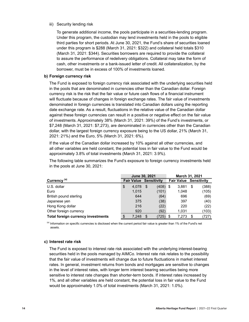#### iii) Security lending risk

 To generate additional income, the pools participate in a securities-lending program . Under this program, the custodian may lend investments held in the pools to eligible third parties for short periods. At June 30, 2021, the Fund's share of securities loaned under this program is \$288 (March 31, 2021: \$322) and collateral held totals \$310 (March 31, 2021: \$344) . Securities borrowers are required to provide the collateral to assure the performance of redelivery obligations. Collateral may take the form of cash, other investments or a bank-issued letter of credit. All collateralization, by the borrower, must be in excess of 100% of investments loaned .

#### **b) Foreign currency risk**

The Fund is exposed to foreign currency risk associated with the underlying securities held in the pools that are denominated in currencies other than the Canadian dollar . Foreign currency risk is the risk that the fair value or future cash flows of a financial instrument will fluctuate because of changes in foreign exchange rates. The fair value of investments denominated in foreign currencies is translated into Canadian dollars using the reporting date exchange rate. As a result, fluctuations in the relative value of the Canadian dollar against these foreign currencies can result in a positive or negative effect on the fair value of investments. Approximately 38% (March 31, 2021: 39%) of the Fund's investments, or \$7,248 (March 31, 2021: \$7,273), are denominated in currencies other than the Canadian dollar, with the largest foreign currency exposure being to the US dollar, 21% (March 31, 2021: 21%) and the Euro, 5% (March 31, 2021: 6%) .

If the value of the Canadian dollar increased by 10% against all other currencies, and all other variables are held constant, the potential loss in fair value to the Fund would be an strict variables are note sorbitaint, the potential research and value approximately 3.8% of total investments (March 31, 2021: 3.9%).  $S<sub>1</sub>$  and would be

|                                           | June 30, 2021 |                   |   |                    |      | March 31, 2021                |    |       |  |  |
|-------------------------------------------|---------------|-------------------|---|--------------------|------|-------------------------------|----|-------|--|--|
| Currency <sup>(a)</sup>                   |               | <b>Fair Value</b> |   | <b>Sensitivity</b> |      | <b>Fair Value Sensitivity</b> |    |       |  |  |
| U.S. dollar                               | \$            | 4,078             | S | (408)              | - \$ | 3,881                         | \$ | (388) |  |  |
| Euro                                      |               | 1,015             |   | (101)              |      | 1,048                         |    | (105) |  |  |
| British pound sterling                    |               | 644               |   | (64)               |      | 696                           |    | (69)  |  |  |
| Japanese yen                              |               | 375               |   | (38)               |      | 397                           |    | (40)  |  |  |
| Hong Kong dollar                          |               | 216               |   | (22)               |      | 220                           |    | (22)  |  |  |
| Other foreign currency                    |               | 920               |   | (92)               |      | 1,031                         |    | (103) |  |  |
| <b>Total foreign currency investments</b> |               | 7,248             |   | 725)               |      | 7.273                         | S. | 727)  |  |  |

The following table summarizes the Fund's exposure to foreign currency investments held in the pools at June 30, 2021:

(a) Information on specific currencies is disclosed when the current period fair value is greater than 1% of the Fund's net assets.

#### **c) Interest rate risk**

The Fund is exposed to interest rate risk associated with the underlying interest-bearing securities held in the pools managed by AIMCo. Interest rate risk relates to the possibility that the fair value of investments will change due to future fluctuations in market interest rates . In general, investment returns from bonds and mortgages are sensitive to changes in the level of interest rates, with longer term interest bearing securities being more sensitive to interest rate changes than shorter-term bonds . If interest rates increased by 1%, and all other variables are held constant, the potential loss in fair value to the Fund would be approximately 1.0% of total investments (March 31, 2021: 1.0%).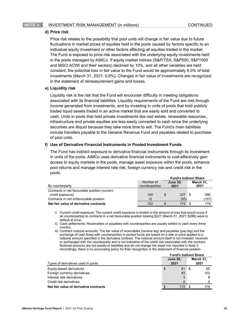#### **d) price risk**

Price risk relates to the possibility that pool units will change in fair value due to future fluctuations in market prices of equities held in the pools caused by factors specific to an individual equity investment or other factors affecting all equities traded in the market. The Fund is exposed to price risk associated with the underlying equity investments held in the pools managed by AIMCo. If equity market indices (S&P/TSX, S&P500, S&P1500 and MSCI ACWI and their sectors) declined by 10%, and all other variables are held constant, the potential loss in fair value to the Fund would be approximately 6 .0% of total investments (March 31, 2021: 5.9%). Changes in fair value of investments are recognized in the statement of remeasurement gains and losses .

#### **e) Liquidity risk**

Liquidity risk is the risk that the Fund will encounter difficulty in meeting obligations associated with its financial liabilities. Liquidity requirements of the Fund are met through income generated from investments, and by investing in units of pools that hold publicly traded liquid assets traded in an active market that are easily sold and converted to cash. Units in pools that hold private investments like real estate, renewable resources, infrastructure and private equities are less easily converted to cash since the underlying securities are illiquid because they take more time to sell. The Fund's main liabilities include transfers payable to the General Revenue Fund and payables related to purchase of pool units .

#### **f) Use of Derivative Financial Instruments in pooled Investment Funds**

The Fund has indirect exposure to derivative financial instruments through its investment in units of the pools. AIMCo uses derivative financial instruments to cost-effectively gain access to equity markets in the pools, manage asset exposure within the pools, enhance pool returns and manage interest rate risk, foreign currency risk and credit risk in the pools. Endowment Funds

|                                               |                | <b>Fund's Indirect Share</b> |      |           |       |
|-----------------------------------------------|----------------|------------------------------|------|-----------|-------|
|                                               | Number of      | <b>June 30,</b>              |      | March 31, |       |
| By counterparty                               | counterparties |                              | 2021 |           | 2021  |
| Contracts in net favourable position (current |                |                              |      |           |       |
| credit exposure)                              | 140            | \$.                          | 227  | - \$      | 286   |
| Contracts in net unfavourable position        | 12             |                              | (55) |           | (107) |
| Net fair value of derivative contracts        | 152            |                              | 172  |           | 179   |

i) Current credit exposure: The current credit exposure is limited to the amount of loss that would occur if all counterparties to contracts in a net favourable position totaling \$227 (March 31, 2021: \$286) were to default at once.

ii) Cash settlements: Receivables or payables with counterparties are usually settled in cash every three months.

iii) Contract notional amounts: The fair value of receivables (receive leg) and payables (pay leg) and the exchange of cash flows with counterparties in pooled funds are based on a rate or price applied to a notional amount specified in the derivative contract. The notional amount itself is not invested, received or exchanged with the counterparty and is not indicative of the credit risk associated with the contract. or exchanged with the counterparty and is not indicative or the credit risk associated with the complete the state of the state of the state of the state of the state of the state of the state of the state of the state of Accordingly, there is no accounting policy for their recognition in the statement of financial position.  $\mathbf{L}$ 

|                                        | <b>Fund's Indirect Share</b> |                         |      |                   |  |
|----------------------------------------|------------------------------|-------------------------|------|-------------------|--|
| Types of derivatives used in pools     |                              | <b>June 30,</b><br>2021 |      | March 31,<br>2021 |  |
| Equity-based derivatives               | \$                           | 81                      | - \$ | 65                |  |
| Foreign currency derivatives           |                              | 83                      |      | 103               |  |
| Interest rate derivatives              |                              | 3                       |      | 6                 |  |
| Credit risk derivatives                |                              | 5                       |      | 5                 |  |
| Net fair value of derivative contracts |                              | 172                     |      | 179               |  |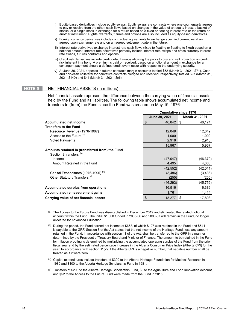- i) Equity-based derivatives include equity swaps . Equity swaps are contracts where one counterparty agrees to pay or receive from the other, cash flows based on changes in the value of an equity index, a basket of stocks, or a single stock in exchange for a return based on a fixed or floating interest rate or the return on another instrument. Rights, warrants, futures and options are also included as equity-based derivatives.
- ii) Foreign currency derivatives include contractual agreements to exchange specified currencies at an agreed upon exchange rate and on an agreed settlement date in the future .
- iii) Interest rate derivatives exchange interest rate cash flows (fixed to floating or floating to fixed) based on a notional amount . Interest rate derivatives primarily include interest rate swaps and cross currency interest rate swaps, futures contracts and options .
- iv) Credit risk derivatives include credit default swaps allowing the pools to buy and sell protection on credit risk inherent in a bond. A premium is paid or received, based on a notional amount in exchange for a contingent payment should a defined credit event occur with respect to the underlying security.
- At June 30, 2021, deposits in futures contracts margin accounts totaled \$52 (March 31, 2021: \$71). Cash and non-cash collateral for derivative contracts pledged and received, respectively, totaled \$97 (March 31, 2021: \$140) and \$nil (March 31, 2021: \$nil) .

#### NOTE 5 NET FINANCIAL ASSETS (in millions)

Net financial assets represent the difference between the carrying value of financial assets held by the Fund and its liabilities. The following table shows accumulated net income and transfers to (from) the Fund since the Fund was created on May 19, 1976:

|                                                                            |    | <b>Cumulative since 1976</b> |                |  |  |
|----------------------------------------------------------------------------|----|------------------------------|----------------|--|--|
|                                                                            |    | June 30, 2021                | March 31, 2021 |  |  |
| Accumulated net income                                                     | \$ | 46,842                       | \$<br>46,174   |  |  |
| <b>Transfers to the Fund</b>                                               |    |                              |                |  |  |
| Resource Revenue (1976-1987)                                               |    | 12,049                       | 12,049         |  |  |
| Access to the Future (a)                                                   |    | 1,000                        | 1,000          |  |  |
| <b>Voted Payments</b>                                                      |    | 2,918                        | 2,918          |  |  |
|                                                                            |    | 15,967                       | 15,967         |  |  |
| Amounts retained in (transferred from) the Fund<br>Section 8 transfers (b) |    |                              |                |  |  |
| Income                                                                     |    | (47, 047)                    | (46, 379)      |  |  |
| Amount Retained in the Fund                                                |    | 4,495                        | 4,368          |  |  |
|                                                                            |    | (42, 552)                    | (42,011)       |  |  |
| Capital Expenditures (1976-1995) <sup>(c)</sup>                            |    | (3, 486)                     | (3,486)        |  |  |
| Other Statutory Transfers <sup>(d)</sup>                                   |    | (255)                        | (255)          |  |  |
|                                                                            |    | (46, 293)                    | (45,752)       |  |  |
| Accumulated surplus from operations                                        |    | 16,516                       | 16,389         |  |  |
| Accumulated remeasurement gains                                            |    | 1,761                        | 1,414          |  |  |
| Carrying value of net financial assets                                     | \$ | 18,277                       | 17,803<br>- \$ |  |  |

(a) The Access to the Future Fund was disestablished in December 2019 and eliminated the related notional account within the Fund . The initial \$1,000 funded in 2005-06 and 2006-07 will remain in the Fund, no longer allocated for Advanced Education.

- (b) During the period, the Fund earned net income of \$668, of which \$127 was retained in the Fund and \$541 is payable to the GRF. Section 8 of the Act states that the net income of the Heritage Fund, less any amount retained in the Fund, in accordance with section 11 of the Act, shall be transferred to the GRF in a manner determined by the President of Treasury Board and Minister of Finance . The amount to be retained in the Fund for inflation proofing is determined by multiplying the accumulated operating surplus of the Fund from the prior fiscal year end by the estimated percentage increase in the Alberta Consumer Price Index (Alberta CPI) for the year . In accordance with section 11(2), if the Alberta CPI is a negative number, that negative number shall be treated as if it were zero.
- (c) Capital expenditures include transfers of \$300 to the Alberta Heritage Foundation for Medical Research in 1980 and \$100 to the Alberta Heritage Scholarship Fund in 1981 .
- (d) Transfers of \$200 to the Alberta Heritage Scholarship Fund, \$3 to the Agriculture and Food Innovation Account, and \$52 to the Access to the Future Fund were made from the Fund in 2015 .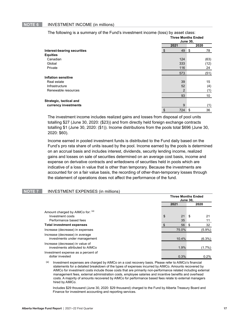|                                    | <u>TILGG MORTIUS LINGU</u><br><b>June 30.</b> |      |  |  |
|------------------------------------|-----------------------------------------------|------|--|--|
|                                    | 2021                                          | 2020 |  |  |
| <b>Interest-bearing securities</b> | 49 \$<br>\$                                   | 78   |  |  |
| <b>Equities</b>                    |                                               |      |  |  |
| Canadian                           | 124                                           | (63) |  |  |
| Global                             | 333                                           | (12) |  |  |
| Private                            | 116                                           | 24   |  |  |
|                                    | 573                                           | (51) |  |  |
| <b>Inflation sensitive</b>         |                                               |      |  |  |
| Real estate                        | 39                                            | 15   |  |  |
| Infrastructure                     | 52                                            | (4)  |  |  |
| Renewable resources                | $\overline{2}$                                | (1)  |  |  |
|                                    | 93                                            | 10   |  |  |
| Strategic, tactical and            |                                               |      |  |  |
| currency investments               | 9                                             | (1)  |  |  |
|                                    | 724 \$<br>\$                                  | 36   |  |  |

The following is a summary of the Fund's investment income (loss) by asset class: **Three Months Ended**

The investment income includes realized gains and losses from disposal of pool units totalling \$27 (June 30, 2020: (\$23)) and from directly held foreign exchange contracts totalling \$1 (June 30, 2020: (\$1)) . Income distributions from the pools total \$696 (June 30, 2020: \$60) .

Income earned in pooled investment funds is distributed to the Fund daily based on the Fund's pro rata share of units issued by the pool. Income earned by the pools is determined on an accrual basis and includes interest, dividends, security lending income, realized gains and losses on sale of securities determined on an average cost basis, income and expense on derivative contracts and writedowns of securities held in pools which are indicative of a loss in value that is other than temporary . Because the investments are accounted for on a fair value basis, the recording of other-than-temporary losses through the statement of operations does not affect the performance of the fund.

#### **NOTE 7** INVESTMENT EXPENSES (in millions)

|                                                                    | <b>Three Months Ended</b><br><b>June 30.</b> |      |           |  |
|--------------------------------------------------------------------|----------------------------------------------|------|-----------|--|
|                                                                    | 2021                                         |      | 2020      |  |
| Amount charged by AIMCo for: (a)<br>Investment costs               | \$<br>21                                     | \$   | 21        |  |
| Performance based fees                                             | 35                                           |      | 11        |  |
| <b>Total investment expenses</b>                                   | 56                                           | ∣\$. | 32        |  |
| Increase (decrease) in expenses                                    | 75.0%                                        |      | (5.9%)    |  |
| Increase (decrease) in average<br>investments under management     | 10.4%                                        |      | $(6.3\%)$ |  |
| Increase (decrease) in value of<br>investments attributed to AIMCo | 1.9%                                         |      | $(1.7\%)$ |  |
| Investment expense as a percent of<br>dollar invested              | 0.3%                                         |      | 0.2%      |  |

management fees, external administration costs, employee salaries and incentive benefits and overhead AIMCo for investment costs include those costs that are primarily non-performance related including external (a) Investment expenses are charged by AIMCo on a cost recovery basis. Please refer to AIMCo's financial statements for a detailed breakdown of the types of expenses incurred by AIMCo. Amounts recovered by costs. A majority of amounts recovered by AIMCo for performance based fees relate to external managers hired by AIMCo.

Includes \$29 thousand (June 30, 2020: \$29 thousand) charged to the Fund by Alberta Treasury Board and Finance for investment accounting and reporting services .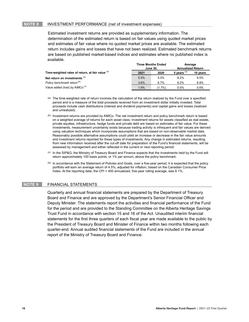#### **NOTE 8** INVESTMENT PERFORMANCE (net of investment expenses)

Estimated investment returns are provided as supplementary information . The determination of the estimated return is based on fair values using quoted market prices and estimates of fair value where no quoted market prices are available. The estimated return includes gains and losses that have not been realized. Estimated benchmark returns are based on published market-based indices and estimates where no published index is available. Endowment Funds

|                                                  | <b>Three Months Ended</b><br><b>June 30.</b> |           | Average<br><b>Annualized Return</b> |          |  |
|--------------------------------------------------|----------------------------------------------|-----------|-------------------------------------|----------|--|
| Time-weighted rates of return, at fair value (a) | 2021                                         | 2020      | 5 vears $(d)$                       | 10 years |  |
| Net return on investments (b)                    | 5.5%                                         | 5.0%      | 8.2%                                | 9.5%     |  |
| Policy benchmark return <sup>(b)</sup>           | 3.6%                                         | 6.7%      | 8.2%                                | 8.9%     |  |
| Value added (lost) by AIMCo <sup>(c)</sup>       | 1.9%                                         | $(1.7\%)$ | $0.0\%$                             | 0.6%     |  |

- (a) The time-weighted rate of return involves the calculation of the return realized by the Fund over a specified period and is a measure of the total proceeds received from an investment dollar initially invested . Total proceeds include cash distributions (interest and dividend payments) and capital gains and losses (realized and unrealized) .
- (b) Investment returns are provided by AIMCo. The net investment return and policy benchmark return is based on a weighted average of returns for each asset class. Investment returns for assets classified as real estate, private equities, infrastructure, hedge funds and private debt are based on estimates of fair value . For these investments, measurement uncertainty exists because trading activity is infrequent and fair values are derived using valuation techniques which incorporate assumptions that are based on non-observable market data. Reasonably possible alternative assumptions could yield an increase or decrease in the fair value amounts and investment returns reported for these types of investments . Any change in estimated returns, resulting from new information received after the cut-off date for preparation of the Fund's financial statements, will be assessed by management and either reflected in the current or next reporting period.
- (c) In the SIP&G, the Ministry of Treasury Board and Finance expects that the investments held by the Fund will return approximately 100 basis points, or 1% per annum, above the policy benchmark.
- (d) In accordance with the Statement of Policies and Goals, over a five-year period, it is expected that the policy portfolio will earn an average return of 4.5%, adjusted for inflation, based on the Canadian Consumer Price Index. At the reporting date, the CPI + 450 annualized, five-year rolling average, was 6.1%.

#### **NOTE 9** FINANCIAL STATEMENTS

Quarterly and annual financial statements are prepared by the Department of Treasury Board and Finance and are approved by the Department's Senior Financial Officer and Deputy Minister. The statements report the activities and financial performance of the Fund for the period and are provided to the Standing Committee on the Alberta Heritage Savings Trust Fund in accordance with section 15 and 16 of the Act . Unaudited interim financial statements for the first three quarters of each fiscal year are made available to the public by the President of Treasury Board and Minister of Finance within two months following each quarter-end . Annual audited financial statements of the Fund are included in the annual report of the Ministry of Treasury Board and Finance .